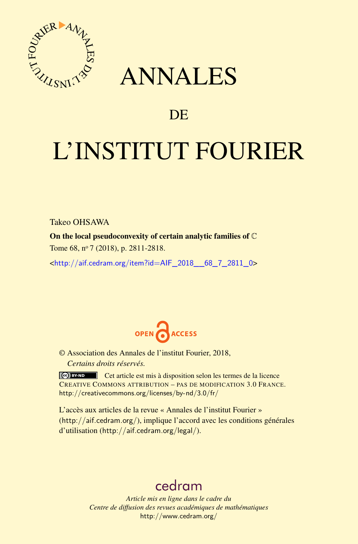

## ANNALES

## **DE**

# L'INSTITUT FOURIER

Takeo OHSAWA

On the local pseudoconvexity of certain analytic families of C Tome 68, nº 7 (2018), p. 2811-2818.

<[http://aif.cedram.org/item?id=AIF\\_2018\\_\\_68\\_7\\_2811\\_0](http://aif.cedram.org/item?id=AIF_2018__68_7_2811_0)>



© Association des Annales de l'institut Fourier, 2018, *Certains droits réservés.*

Cet article est mis à disposition selon les termes de la licence CREATIVE COMMONS ATTRIBUTION – PAS DE MODIFICATION 3.0 FRANCE. <http://creativecommons.org/licenses/by-nd/3.0/fr/>

L'accès aux articles de la revue « Annales de l'institut Fourier » (<http://aif.cedram.org/>), implique l'accord avec les conditions générales d'utilisation (<http://aif.cedram.org/legal/>).

## [cedram](http://www.cedram.org/)

*Article mis en ligne dans le cadre du Centre de diffusion des revues académiques de mathématiques* <http://www.cedram.org/>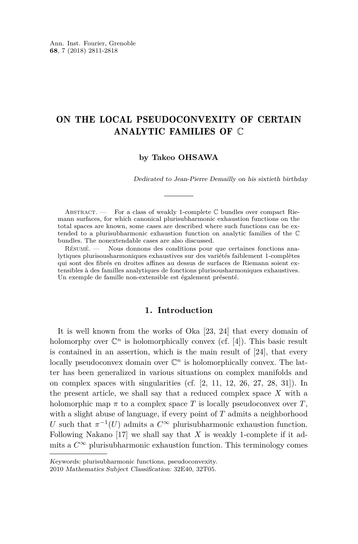### ON THE LOCAL PSEUDOCONVEXITY OF CERTAIN ANALYTIC FAMILIES OF C

#### **by Takeo OHSAWA**

Dedicated to Jean-Pierre Demailly on his sixtieth birthday

ABSTRACT. — For a class of weakly 1-complete  $\mathbb C$  bundles over compact Riemann surfaces, for which canonical plurisubharmonic exhaustion functions on the total spaces are known, some cases are described where such functions can be extended to a plurisubharmonic exhaustion function on analytic families of the C bundles. The nonextendable cases are also discussed.

Résumé. — Nous donnons des conditions pour que certaines fonctions analytiques plurisousharmoniques exhaustives sur des variétés faiblement 1-complètes qui sont des fibrés en droites affines au dessus de surfaces de Riemann soient extensibles à des familles analytiques de fonctions plurisousharmoniques exhaustives. Un exemple de famille non-extensible est également présenté.

#### **1. Introduction**

It is well known from the works of Oka [\[23,](#page-8-0) [24\]](#page-8-1) that every domain of holomorphy over  $\mathbb{C}^n$  is holomorphically convex (cf. [\[4\]](#page-7-0)). This basic result is contained in an assertion, which is the main result of [\[24\]](#page-8-1), that every locally pseudoconvex domain over  $\mathbb{C}^n$  is holomorphically convex. The latter has been generalized in various situations on complex manifolds and on complex spaces with singularities (cf. [\[2,](#page-7-1) [11,](#page-7-2) [12,](#page-7-3) [26,](#page-8-2) [27,](#page-8-3) [28,](#page-8-4) [31\]](#page-8-5)). In the present article, we shall say that a reduced complex space *X* with a holomorphic map  $\pi$  to a complex space T is locally pseudoconvex over T, with a slight abuse of language, if every point of *T* admits a neighborhood *U* such that  $\pi^{-1}(U)$  admits a  $C^{\infty}$  plurisubharmonic exhaustion function. Following Nakano [\[17\]](#page-7-4) we shall say that *X* is weakly 1-complete if it admits a  $C^{\infty}$  plurisubharmonic exhaustion function. This terminology comes

Keywords: plurisubharmonic functions, pseudoconvexity.

<sup>2010</sup> Mathematics Subject Classification: 32E40, 32T05.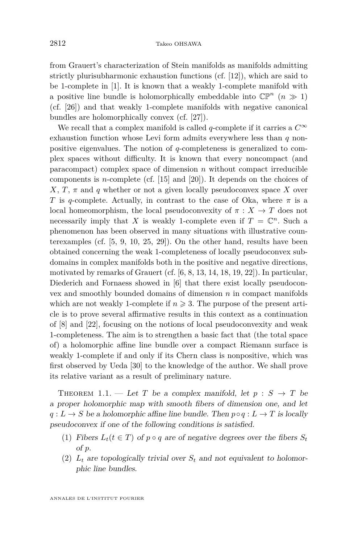from Grauert's characterization of Stein manifolds as manifolds admitting strictly plurisubharmonic exhaustion functions (cf. [\[12\]](#page-7-3)), which are said to be 1-complete in [\[1\]](#page-7-5). It is known that a weakly 1-complete manifold with a positive line bundle is holomorphically embeddable into  $\mathbb{CP}^n$  ( $n \gg 1$ ) (cf. [\[26\]](#page-8-2)) and that weakly 1-complete manifolds with negative canonical bundles are holomorphically convex (cf. [\[27\]](#page-8-3)).

We recall that a complex manifold is called *q*-complete if it carries a  $C^{\infty}$ exhaustion function whose Levi form admits everywhere less than *q* nonpositive eigenvalues. The notion of *q*-completeness is generalized to complex spaces without difficulty. It is known that every noncompact (and paracompact) complex space of dimension *n* without compact irreducible components is *n*-complete (cf. [\[15\]](#page-7-6) and [\[20\]](#page-7-7)). It depends on the choices of *X*, *T*,  $\pi$  and *q* whether or not a given locally pseudoconvex space *X* over *T* is *q*-complete. Actually, in contrast to the case of Oka, where  $\pi$  is a local homeomorphism, the local pseudoconvexity of  $\pi : X \to T$  does not necessarily imply that *X* is weakly 1-complete even if  $T = \mathbb{C}^n$ . Such a phenomenon has been observed in many situations with illustrative counterexamples (cf. [\[5,](#page-7-8) [9,](#page-7-9) [10,](#page-7-10) [25,](#page-8-6) [29\]](#page-8-7)). On the other hand, results have been obtained concerning the weak 1-completeness of locally pseudoconvex subdomains in complex manifolds both in the positive and negative directions, motivated by remarks of Grauert (cf.  $[6, 8, 13, 14, 18, 19, 22]$  $[6, 8, 13, 14, 18, 19, 22]$  $[6, 8, 13, 14, 18, 19, 22]$  $[6, 8, 13, 14, 18, 19, 22]$  $[6, 8, 13, 14, 18, 19, 22]$  $[6, 8, 13, 14, 18, 19, 22]$  $[6, 8, 13, 14, 18, 19, 22]$  $[6, 8, 13, 14, 18, 19, 22]$  $[6, 8, 13, 14, 18, 19, 22]$  $[6, 8, 13, 14, 18, 19, 22]$  $[6, 8, 13, 14, 18, 19, 22]$  $[6, 8, 13, 14, 18, 19, 22]$  $[6, 8, 13, 14, 18, 19, 22]$ ). In particular, Diederich and Fornaess showed in [\[6\]](#page-7-11) that there exist locally pseudoconvex and smoothly bounded domains of dimension *n* in compact manifolds which are not weakly 1-complete if  $n \geq 3$ . The purpose of the present article is to prove several affirmative results in this context as a continuation of [\[8\]](#page-7-12) and [\[22\]](#page-7-17), focusing on the notions of local pseudoconvexity and weak 1-completeness. The aim is to strengthen a basic fact that (the total space of) a holomorphic affine line bundle over a compact Riemann surface is weakly 1-complete if and only if its Chern class is nonpositive, which was first observed by Ueda [\[30\]](#page-8-8) to the knowledge of the author. We shall prove its relative variant as a result of preliminary nature.

<span id="page-2-1"></span>THEOREM 1.1. — Let *T* be a complex manifold, let  $p : S \rightarrow T$  be a proper holomorphic map with smooth fibers of dimension one, and let  $q: L \to S$  be a holomorphic affine line bundle. Then  $p \circ q: L \to T$  is locally pseudoconvex if one of the following conditions is satisfied.

- <span id="page-2-2"></span>(1) Fibers  $L_t(t \in T)$  of  $p \circ q$  are of negative degrees over the fibers  $S_t$ of *p*.
- <span id="page-2-0"></span>(2)  $L_t$  are topologically trivial over  $S_t$  and not equivalent to holomorphic line bundles.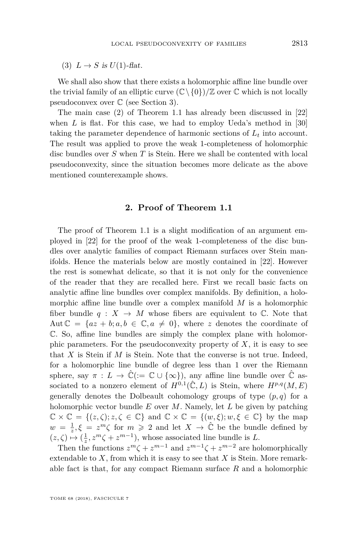<span id="page-3-0"></span>(3)  $L \rightarrow S$  is  $U(1)$ -flat.

We shall also show that there exists a holomorphic affine line bundle over the trivial family of an elliptic curve  $(\mathbb{C}\setminus\{0\})/\mathbb{Z}$  over  $\mathbb C$  which is not locally pseudoconvex over C (see Section [3\)](#page-5-0).

The main case [\(2\)](#page-2-0) of Theorem [1.1](#page-2-1) has already been discussed in [\[22\]](#page-7-17) when *L* is flat. For this case, we had to employ Ueda's method in [\[30\]](#page-8-8) taking the parameter dependence of harmonic sections of  $L_t$  into account. The result was applied to prove the weak 1-completeness of holomorphic disc bundles over *S* when *T* is Stein. Here we shall be contented with local pseudoconvexity, since the situation becomes more delicate as the above mentioned counterexample shows.

#### **2. Proof of Theorem [1.1](#page-2-1)**

The proof of Theorem [1.1](#page-2-1) is a slight modification of an argument employed in [\[22\]](#page-7-17) for the proof of the weak 1-completeness of the disc bundles over analytic families of compact Riemann surfaces over Stein manifolds. Hence the materials below are mostly contained in [\[22\]](#page-7-17). However the rest is somewhat delicate, so that it is not only for the convenience of the reader that they are recalled here. First we recall basic facts on analytic affine line bundles over complex manifolds. By definition, a holomorphic affine line bundle over a complex manifold *M* is a holomorphic fiber bundle  $q : X \to M$  whose fibers are equivalent to  $\mathbb{C}$ . Note that Aut  $\mathbb{C} = \{az + b; a, b \in \mathbb{C}, a \neq 0\}$ , where *z* denotes the coordinate of C. So, affine line bundles are simply the complex plane with holomorphic parameters. For the pseudoconvexity property of  $X$ , it is easy to see that *X* is Stein if *M* is Stein. Note that the converse is not true. Indeed, for a holomorphic line bundle of degree less than 1 over the Riemann sphere, say  $\pi : L \to \mathbb{C} := \mathbb{C} \cup \{\infty\}$ , any affine line bundle over  $\mathbb{C}$  associated to a nonzero element of  $H^{0,1}(\hat{\mathbb{C}}, L)$  is Stein, where  $H^{p,q}(M, E)$ generally denotes the Dolbeault cohomology groups of type  $(p, q)$  for a holomorphic vector bundle *E* over *M*. Namely, let *L* be given by patching  $\mathbb{C} \times \mathbb{C} = \{(z,\zeta); z,\zeta \in \mathbb{C}\}\$ and  $\mathbb{C} \times \mathbb{C} = \{(w,\xi); w,\xi \in \mathbb{C}\}\$ by the map  $w = \frac{1}{z}, \xi = z^m \zeta$  for  $m \geq 2$  and let  $X \to \hat{\mathbb{C}}$  be the bundle defined by  $(z, \zeta) \mapsto (\frac{1}{z}, z^m \zeta + z^{m-1}),$  whose associated line bundle is *L*.

Then the functions  $z^m \zeta + z^{m-1}$  and  $z^{m-1} \zeta + z^{m-2}$  are holomorphically extendable to *X*, from which it is easy to see that *X* is Stein. More remarkable fact is that, for any compact Riemann surface *R* and a holomorphic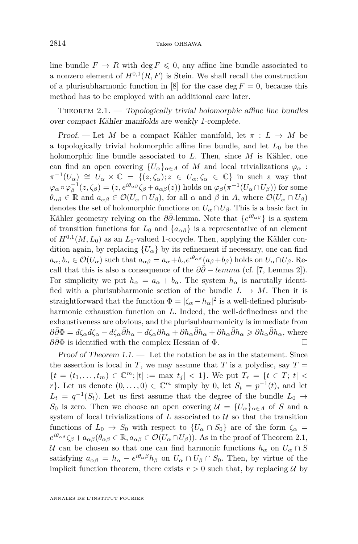line bundle  $F \to R$  with deg  $F \leq 0$ , any affine line bundle associated to a nonzero element of  $H^{0,1}(R,F)$  is Stein. We shall recall the construction of a plurisubharmonic function in [\[8\]](#page-7-12) for the case deg  $F = 0$ , because this method has to be employed with an additional care later.

<span id="page-4-0"></span>THEOREM  $2.1.$  — Topologically trivial holomorphic affine line bundles over compact Kähler manifolds are weakly 1-complete.

Proof. — Let *M* be a compact Kähler manifold, let  $\pi : L \to M$  be a topologically trivial holomorphic affine line bundle, and let  $L_0$  be the holomorphic line bundle associated to *L*. Then, since *M* is Kähler, one can find an open covering  ${U_\alpha}_{\alpha \in A}$  of *M* and local trivializations  $\varphi_\alpha$ :  $\pi^{-1}(U_\alpha) \cong U_\alpha \times \mathbb{C} = \{(z, \zeta_\alpha); z \in U_\alpha, \zeta_\alpha \in \mathbb{C}\}\$ in such a way that  $\varphi_{\alpha} \circ \varphi_{\beta}^{-1}(z,\zeta_{\beta}) = (z,e^{i\theta_{\alpha\beta}}\zeta_{\beta} + a_{\alpha\beta}(z))$  holds on  $\varphi_{\beta}(\pi^{-1}(U_{\alpha} \cap U_{\beta}))$  for some  $\theta_{\alpha\beta} \in \mathbb{R}$  and  $a_{\alpha\beta} \in \mathcal{O}(U_\alpha \cap U_\beta)$ , for all  $\alpha$  and  $\beta$  in *A*, where  $\mathcal{O}(U_\alpha \cap U_\beta)$ denotes the set of holomorphic functions on  $U_{\alpha} \cap U_{\beta}$ . This is a basic fact in Kähler geometry relying on the *∂∂*¯-lemma. Note that {*e iθαβ* } is a system of transition functions for  $L_0$  and  $\{a_{\alpha\beta}\}\$ is a representative of an element of  $H^{0,1}(M, L_0)$  as an  $L_0$ -valued 1-cocycle. Then, applying the Kähler condition again, by replacing  ${U_\alpha}$  by its refinement if necessary, one can find  $a_{\alpha}, b_{\alpha} \in \mathcal{O}(U_{\alpha})$  such that  $a_{\alpha\beta} = a_{\alpha} + b_{\alpha}e^{i\theta_{\alpha\beta}}(a_{\beta} + b_{\beta})$  holds on  $U_{\alpha} \cap U_{\beta}$ . Recall that this is also a consequence of the  $\partial \bar{\partial}$  − *lemma* (cf. [\[7,](#page-7-18) Lemma 2]). For simplicity we put  $h_{\alpha} = a_{\alpha} + b_{\alpha}$ . The system  $h_{\alpha}$  is narutally identified with a plurisubharmonic section of the bundle  $L \rightarrow M$ . Then it is straightforward that the function  $\Phi = |\zeta_{\alpha} - h_{\alpha}|^2$  is a well-defined plurisubharmonic exhaustion function on *L*. Indeed, the well-definedness and the exhaustiveness are obvious, and the plurisubharmonicity is immediate from  $\partial\bar{\partial}\Phi = d\zeta_{\alpha}d\zeta_{\alpha} - d\zeta_{\alpha}\bar{\partial}h_{\alpha} - d\zeta_{\alpha}\partial h_{\alpha} + \partial h_{\alpha}\bar{\partial}h_{\alpha} + \partial h_{\alpha}\bar{\partial}h_{\alpha} \geq \partial h_{\alpha}\bar{\partial}h_{\alpha}$ , where *∂∂*¯Φ is identified with the complex Hessian of Φ.

Proof of Theorem  $1.1.$  — Let the notation be as in the statement. Since the assertion is local in *T*, we may assume that *T* is a polydisc, say  $T =$  ${t = (t_1, \ldots, t_m) \in \mathbb{C}^m; |t| := \max |t_j| < 1}.$  We put  $T_r = {t \in T; |t| < \min |t|}$ *r*}. Let us denote  $(0, \ldots, 0) \in \mathbb{C}^m$  simply by 0, let  $S_t = p^{-1}(t)$ , and let  $L_t = q^{-1}(S_t)$ . Let us first assume that the degree of the bundle  $L_0 \rightarrow$ *S*<sub>0</sub> is zero. Then we choose an open covering  $\mathcal{U} = \{U_{\alpha}\}_{{\alpha \in A}}$  of *S* and a system of local trivializations of  $L$  associated to  $U$  so that the transition functions of  $L_0 \rightarrow S_0$  with respect to  $\{U_\alpha \cap S_0\}$  are of the form  $\zeta_\alpha =$  $e^{i\theta_{\alpha\beta}}\zeta_{\beta} + a_{\alpha\beta}(\theta_{\alpha\beta} \in \mathbb{R}, a_{\alpha\beta} \in \mathcal{O}(U_{\alpha} \cap U_{\beta}))$ . As in the proof of Theorem [2.1,](#page-4-0) U can be chosen so that one can find harmonic functions  $h_{\alpha}$  on  $U_{\alpha} \cap S$ satisfying  $a_{\alpha\beta} = h_{\alpha} - e^{i\theta_{\alpha}\beta}h_{\beta}$  on  $U_{\alpha} \cap U_{\beta} \cap S_0$ . Then, by virtue of the implicit function theorem, there exists  $r > 0$  such that, by replacing U by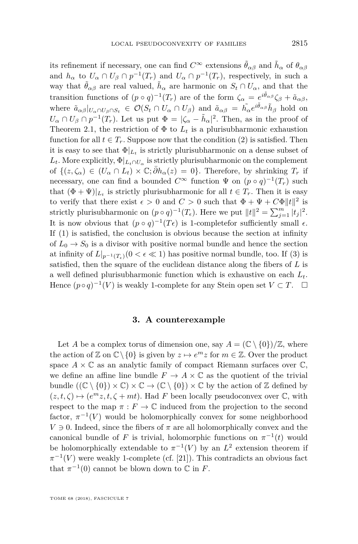its refinement if necessary, one can find  $C^{\infty}$  extensions  $\tilde{\theta}_{\alpha\beta}$  and  $\tilde{h}_{\alpha}$  of  $\theta_{\alpha\beta}$ and  $h_{\alpha}$  to  $U_{\alpha} \cap U_{\beta} \cap p^{-1}(T_r)$  and  $U_{\alpha} \cap p^{-1}(T_r)$ , respectively, in such a way that  $\tilde{\theta}_{\alpha\beta}$  are real valued,  $\tilde{h}_{\alpha}$  are harmonic on  $S_t \cap U_{\alpha}$ , and that the transition functions of  $(p \circ q)^{-1}(T_r)$  are of the form  $\zeta_\alpha = e^{i\tilde{\theta}_{\alpha\beta}}\zeta_\beta + \tilde{a}_{\alpha\beta}$ , where  $\tilde{a}_{\alpha\beta}|_{U_{\alpha}\cap U_{\beta}\cap S_t} \in \mathcal{O}(S_t \cap U_{\alpha} \cap U_{\beta})$  and  $\tilde{a}_{\alpha\beta} = \tilde{h_{\alpha}}e^{i\tilde{\theta}_{\alpha\beta}}\tilde{h}_{\beta}$  hold on  $U_{\alpha} \cap U_{\beta} \cap p^{-1}(T_r)$ . Let us put  $\Phi = |\zeta_{\alpha} - \tilde{h}_{\alpha}|^2$ . Then, as in the proof of Theorem [2.1,](#page-4-0) the restriction of  $\Phi$  to  $L_t$  is a plurisubharmonic exhaustion function for all  $t \in T_r$ . Suppose now that the condition [\(2\)](#page-2-0) is satisfied. Then it is easy to see that  $\Phi|_{L_t}$  is strictly plurisubharmonic on a dense subset of  $L_t$ . More explicitly,  $\Phi|_{L_t \cap U_\alpha}$  is strictly plurisubharmonic on the complement of  $\{(z,\zeta_\alpha) \in (U_\alpha \cap L_t) \times \mathbb{C}; \bar{\partial}h_\alpha(z) = 0\}$ . Therefore, by shrinking  $T_r$  if necessary, one can find a bounded  $C^{\infty}$  function  $\Psi$  on  $(p \circ q)^{-1}(T_r)$  such that  $(\Phi + \Psi)|_{L_t}$  is strictly plurisubharmonic for all  $t \in T_r$ . Then it is easy to verify that there exist  $\epsilon > 0$  and  $C > 0$  such that  $\Phi + \Psi + C\Phi ||t||^2$  is strictly plurisubharmonic on  $(p \circ q)^{-1}(T_{\epsilon})$ . Here we put  $||t||^2 = \sum_{j=1}^m |t_j|^2$ . It is now obvious that  $(p \circ q)^{-1}(T\epsilon)$  is 1-completefor sufficiently small  $\epsilon$ . If [\(1\)](#page-2-2) is satisfied, the conclusion is obvious because the section at infinity of  $L_0 \rightarrow S_0$  is a divisor with positive normal bundle and hence the section at infinity of  $L|_{p^{-1}(T_*)}(0 < \epsilon \ll 1)$  has positive normal bundle, too. If [\(3\)](#page-3-0) is satisfied, then the square of the euclidean distance along the fibers of *L* is a well defined plurisubharmonic function which is exhaustive on each *Lt*. Hence  $(p \circ q)^{-1}(V)$  is weakly 1-complete for any Stein open set  $V \subset T$ .  $\Box$ 

#### **3. A counterexample**

<span id="page-5-0"></span>Let *A* be a complex torus of dimension one, say  $A = (\mathbb{C} \setminus \{0\})/\mathbb{Z}$ , where the action of  $\mathbb{Z}$  on  $\mathbb{C}\setminus\{0\}$  is given by  $z \mapsto e^m z$  for  $m \in \mathbb{Z}$ . Over the product space  $A \times \mathbb{C}$  as an analytic family of compact Riemann surfaces over  $\mathbb{C}$ , we define an affine line bundle  $F \to A \times \mathbb{C}$  as the quotient of the trivial bundle  $((\mathbb{C} \setminus \{0\}) \times \mathbb{C}) \times \mathbb{C} \rightarrow (\mathbb{C} \setminus \{0\}) \times \mathbb{C}$  by the action of Z defined by  $(z, t, \zeta) \mapsto (e^m z, t, \zeta + mt)$ . Had *F* been locally pseudoconvex over  $\mathbb{C}$ , with respect to the map  $\pi : F \to \mathbb{C}$  induced from the projection to the second factor,  $\pi^{-1}(V)$  would be holomorphically convex for some neighborhood  $V \ni 0$ . Indeed, since the fibers of  $\pi$  are all holomorphically convex and the canonical bundle of *F* is trivial, holomorphic functions on  $\pi^{-1}(t)$  would be holomorphically extendable to  $\pi^{-1}(V)$  by an  $L^2$  extension theorem if  $\pi^{-1}(V)$  were weakly 1-complete (cf. [\[21\]](#page-7-19)). This contradicts an obvious fact that  $\pi^{-1}(0)$  cannot be blown down to  $\mathbb C$  in *F*.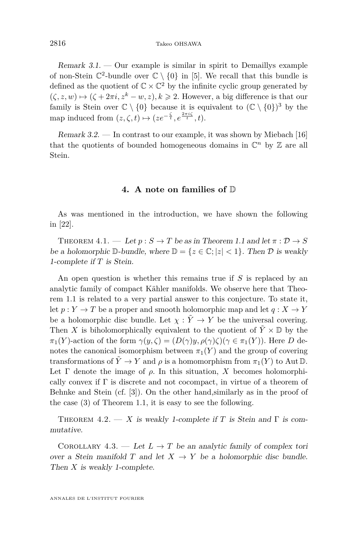Remark  $3.1.$  — Our example is similar in spirit to Demaillys example of non-Stein  $\mathbb{C}^2$ -bundle over  $\mathbb{C} \setminus \{0\}$  in [\[5\]](#page-7-8). We recall that this bundle is defined as the quotient of  $\mathbb{C} \times \mathbb{C}^2$  by the infinite cyclic group generated by  $(\zeta, z, w) \mapsto (\zeta + 2\pi i, z^k - w, z), k \geq 2$ . However, a big difference is that our family is Stein over  $\mathbb{C} \setminus \{0\}$  because it is equivalent to  $(\mathbb{C} \setminus \{0\})^3$  by the map induced from  $(z, \zeta, t) \mapsto (ze^{-\frac{\zeta}{t}}, e^{\frac{2\pi i \zeta}{t}}, t).$ 

Remark 3.2. — In contrast to our example, it was shown by Miebach [\[16\]](#page-7-20) that the quotients of bounded homogeneous domains in  $\mathbb{C}^n$  by  $\mathbb{Z}$  are all Stein.

#### **4. A note on families of** D

As was mentioned in the introduction, we have shown the following in [\[22\]](#page-7-17).

THEOREM  $4.1.$  — Let  $p: S \to T$  be as in Theorem [1.1](#page-2-1) and let  $\pi: \mathcal{D} \to S$ be a holomorphic  $\mathbb{D}$ -bundle, where  $\mathbb{D} = \{z \in \mathbb{C}; |z| < 1\}$ . Then  $\mathcal D$  is weakly 1-complete if *T* is Stein.

An open question is whether this remains true if *S* is replaced by an analytic family of compact Kähler manifolds. We observe here that Theorem [1.1](#page-2-1) is related to a very partial answer to this conjecture. To state it, let  $p: Y \to T$  be a proper and smooth holomorphic map and let  $q: X \to Y$ be a holomorphic disc bundle. Let  $\chi : \tilde{Y} \to Y$  be the universal covering. Then *X* is biholomorphically equivalent to the quotient of  $\tilde{Y} \times \mathbb{D}$  by the *π*<sub>1</sub>(*Y*)-action of the form  $γ(y, ζ) = (D(γ)y, ρ(γ)ζ)(γ ∈ π<sub>1</sub>(Y))$ . Here *D* denotes the canonical isomorphism between  $\pi_1(Y)$  and the group of covering transformations of  $\tilde{Y} \to Y$  and  $\rho$  is a homomorphism from  $\pi_1(Y)$  to Aut D. Let  $\Gamma$  denote the image of  $\rho$ . In this situation, X becomes holomorphically convex if  $\Gamma$  is discrete and not cocompact, in virtue of a theorem of Behnke and Stein (cf. [\[3\]](#page-7-21)). On the other hand,similarly as in the proof of the case [\(3\)](#page-3-0) of Theorem [1.1,](#page-2-1) it is easy to see the following.

THEOREM 4.2. — X is weakly 1-complete if T is Stein and  $\Gamma$  is commutative.

COROLLARY 4.3. — Let  $L \to T$  be an analytic family of complex tori over a Stein manifold *T* and let  $X \to Y$  be a holomorphic disc bundle. Then *X* is weakly 1-complete.

ANNALES DE L'INSTITUT FOURIER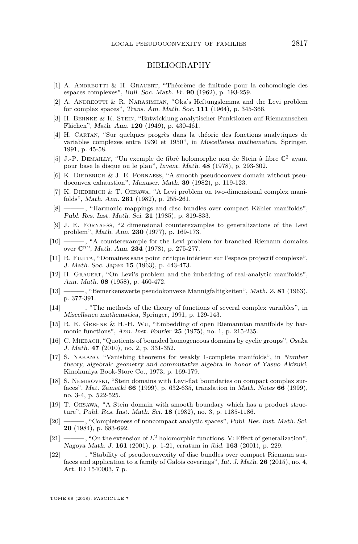#### BIBLIOGRAPHY

- <span id="page-7-5"></span>[1] A. Andreotti & H. Grauert, "Théorème de finitude pour la cohomologie des espaces complexes", Bull. Soc. Math. Fr. **90** (1962), p. 193-259.
- <span id="page-7-1"></span>[2] A. ANDREOTTI & R. NARASIMHAN, "Oka's Heftungslemma and the Levi problem for complex spaces", Trans. Am. Math. Soc. **111** (1964), p. 345-366.
- <span id="page-7-21"></span>[3] H. Behnke & K. Stein, "Entwicklung analytischer Funktionen auf Riemannschen Flächen", Math. Ann. **120** (1949), p. 430-461.
- <span id="page-7-0"></span>[4] H. Cartan, "Sur quelques progrès dans la théorie des fonctions analytiques de variables complexes entre 1930 et 1950", in Miscellanea mathematica, Springer, 1991, p. 45-58.
- <span id="page-7-8"></span>[5] J.-P. DEMAILLY, "Un exemple de fibré holomorphe non de Stein à fibre  $\mathbb{C}^2$  ayant pour base le disque ou le plan", Invent. Math. **48** (1978), p. 293-302.
- <span id="page-7-11"></span>[6] K. DIEDERICH  $&$  J. E. FORNAESS, "A smooth pseudoconvex domain without pseudoconvex exhaustion", Manuscr. Math. **39** (1982), p. 119-123.
- <span id="page-7-18"></span>[7] K. DIEDERICH & T. OHSAWA, "A Levi problem on two-dimensional complex manifolds", Math. Ann. **261** (1982), p. 255-261.
- <span id="page-7-12"></span>[8] ——— , "Harmonic mappings and disc bundles over compact Kähler manifolds", Publ. Res. Inst. Math. Sci. **21** (1985), p. 819-833.
- <span id="page-7-9"></span>[9] J. E. Fornaess, "2 dimensional counterexamples to generalizations of the Levi problem", Math. Ann. **230** (1977), p. 169-173.
- <span id="page-7-10"></span>[10]  $\longrightarrow$ , "A counterexample for the Levi problem for branched Riemann domains over C*n*", Math. Ann. **234** (1978), p. 275-277.
- <span id="page-7-2"></span>[11] R. Fujita, "Domaines sans point critique intérieur sur l'espace projectif complexe", J. Math. Soc. Japan **15** (1963), p. 443-473.
- <span id="page-7-3"></span>[12] H. Grauert, "On Levi's problem and the imbedding of real-analytic manifolds", Ann. Math. **68** (1958), p. 460-472.
- <span id="page-7-13"></span>[13] ——— , "Bemerkenswerte pseudokonvexe Mannigfaltigkeiten", Math. Z. **81** (1963), p. 377-391.
- <span id="page-7-14"></span>[14] ——— , "The methods of the theory of functions of several complex variables", in Miscellanea mathematica, Springer, 1991, p. 129-143.
- <span id="page-7-6"></span>[15] R. E. Greene & H.-H. Wu, "Embedding of open Riemannian manifolds by harmonic functions", Ann. Inst. Fourier **25** (1975), no. 1, p. 215-235.
- <span id="page-7-20"></span>[16] C. Miebach, "Quotients of bounded homogeneous domains by cyclic groups", Osaka J. Math. **47** (2010), no. 2, p. 331-352.
- <span id="page-7-4"></span>[17] S. Nakano, "Vanishing theorems for weakly 1-complete manifolds", in Number theory, algebraic geometry and commutative algebra in honor of Yasuo Akizuki, Kinokuniya Book-Store Co., 1973, p. 169-179.
- <span id="page-7-15"></span>[18] S. Nemirovski, "Stein domains with Levi-flat boundaries on compact complex surfaces", Mat. Zametki **66** (1999), p. 632-635, translation in Math. Notes **66** (1999), no. 3-4, p. 522-525.
- <span id="page-7-16"></span>[19] T. Ohsawa, "A Stein domain with smooth boundary which has a product structure", Publ. Res. Inst. Math. Sci. **18** (1982), no. 3, p. 1185-1186.
- <span id="page-7-7"></span>[20] ——— , "Completeness of noncompact analytic spaces", Publ. Res. Inst. Math. Sci. **20** (1984), p. 683-692.
- <span id="page-7-19"></span>[21] ———, "On the extension of  $L^2$  holomorphic functions. V: Effect of generalization", Nagoya Math. J. **161** (2001), p. 1-21, erratum in ibid. **163** (2001), p. 229.
- <span id="page-7-17"></span>[22] ——— , "Stability of pseudoconvexity of disc bundles over compact Riemann surfaces and application to a family of Galois coverings", Int. J. Math. **26** (2015), no. 4, Art. ID 1540003, 7 p.